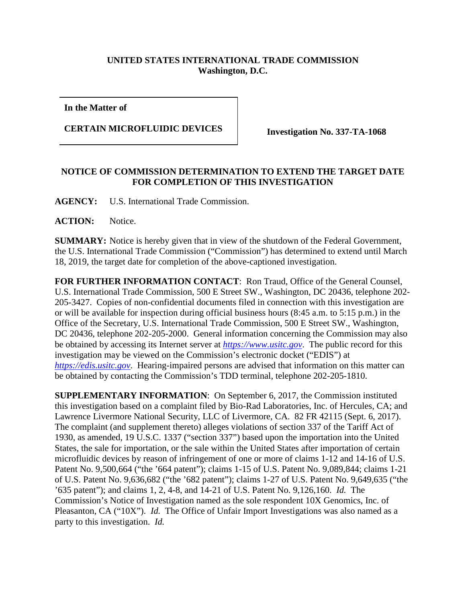## **UNITED STATES INTERNATIONAL TRADE COMMISSION Washington, D.C.**

**In the Matter of**

## **CERTAIN MICROFLUIDIC DEVICES Investigation No. 337-TA-1068**

## **NOTICE OF COMMISSION DETERMINATION TO EXTEND THE TARGET DATE FOR COMPLETION OF THIS INVESTIGATION**

**AGENCY:** U.S. International Trade Commission.

**ACTION:** Notice.

**SUMMARY:** Notice is hereby given that in view of the shutdown of the Federal Government, the U.S. International Trade Commission ("Commission") has determined to extend until March 18, 2019, the target date for completion of the above-captioned investigation.

**FOR FURTHER INFORMATION CONTACT**: Ron Traud, Office of the General Counsel, U.S. International Trade Commission, 500 E Street SW., Washington, DC 20436, telephone 202- 205-3427. Copies of non-confidential documents filed in connection with this investigation are or will be available for inspection during official business hours (8:45 a.m. to 5:15 p.m.) in the Office of the Secretary, U.S. International Trade Commission, 500 E Street SW., Washington, DC 20436, telephone 202-205-2000. General information concerning the Commission may also be obtained by accessing its Internet server at *[https://www.usitc.gov](https://www.usitc.gov/)*. The public record for this investigation may be viewed on the Commission's electronic docket ("EDIS") at *[https://edis.usitc.gov](https://edis.usitc.gov/)*. Hearing-impaired persons are advised that information on this matter can be obtained by contacting the Commission's TDD terminal, telephone 202-205-1810.

**SUPPLEMENTARY INFORMATION**: On September 6, 2017, the Commission instituted this investigation based on a complaint filed by Bio-Rad Laboratories, Inc. of Hercules, CA; and Lawrence Livermore National Security, LLC of Livermore, CA. 82 FR 42115 (Sept. 6, 2017). The complaint (and supplement thereto) alleges violations of section 337 of the Tariff Act of 1930, as amended, 19 U.S.C. 1337 ("section 337") based upon the importation into the United States, the sale for importation, or the sale within the United States after importation of certain microfluidic devices by reason of infringement of one or more of claims 1-12 and 14-16 of U.S. Patent No. 9,500,664 ("the '664 patent"); claims 1-15 of U.S. Patent No. 9,089,844; claims 1-21 of U.S. Patent No. 9,636,682 ("the '682 patent"); claims 1-27 of U.S. Patent No. 9,649,635 ("the '635 patent"); and claims 1, 2, 4-8, and 14-21 of U.S. Patent No. 9,126,160. *Id.* The Commission's Notice of Investigation named as the sole respondent 10X Genomics, Inc. of Pleasanton, CA ("10X"). *Id.* The Office of Unfair Import Investigations was also named as a party to this investigation. *Id.*